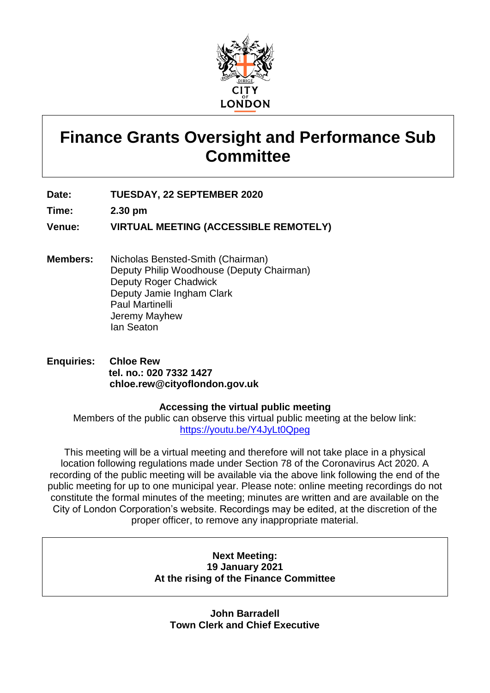

# **Finance Grants Oversight and Performance Sub Committee**

**Date: TUESDAY, 22 SEPTEMBER 2020**

**Time: 2.30 pm**

**Venue: VIRTUAL MEETING (ACCESSIBLE REMOTELY)**

- **Members:** Nicholas Bensted-Smith (Chairman) Deputy Philip Woodhouse (Deputy Chairman) Deputy Roger Chadwick Deputy Jamie Ingham Clark Paul Martinelli Jeremy Mayhew Ian Seaton
- **Enquiries: Chloe Rew tel. no.: 020 7332 1427 chloe.rew@cityoflondon.gov.uk**

# **Accessing the virtual public meeting**

Members of the public can observe this virtual public meeting at the below link: <https://youtu.be/Y4JyLt0Qpeg>

This meeting will be a virtual meeting and therefore will not take place in a physical location following regulations made under Section 78 of the Coronavirus Act 2020. A recording of the public meeting will be available via the above link following the end of the public meeting for up to one municipal year. Please note: online meeting recordings do not constitute the formal minutes of the meeting; minutes are written and are available on the City of London Corporation's website. Recordings may be edited, at the discretion of the proper officer, to remove any inappropriate material.

# **Next Meeting: 19 January 2021 At the rising of the Finance Committee**

**John Barradell Town Clerk and Chief Executive**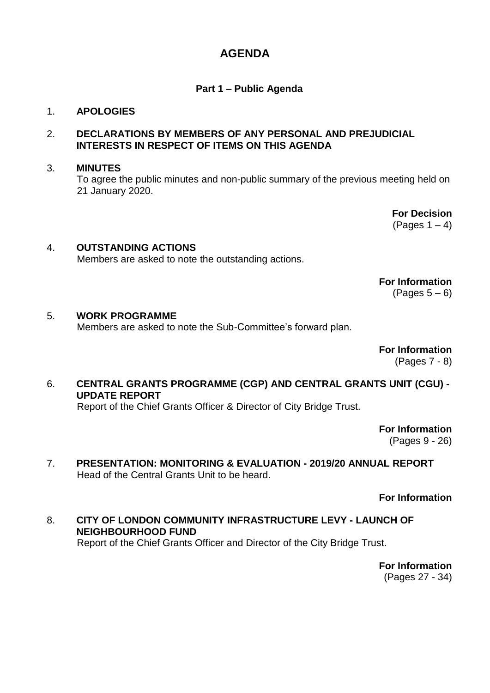# **AGENDA**

# **Part 1 – Public Agenda**

# 1. **APOLOGIES**

# 2. **DECLARATIONS BY MEMBERS OF ANY PERSONAL AND PREJUDICIAL INTERESTS IN RESPECT OF ITEMS ON THIS AGENDA**

### 3. **MINUTES**

To agree the public minutes and non-public summary of the previous meeting held on 21 January 2020.

> **For Decision** (Pages  $1 - 4$ )

# 4. **OUTSTANDING ACTIONS**

Members are asked to note the outstanding actions.

**For Information**  $(Pages 5 - 6)$ 

# 5. **WORK PROGRAMME**

Members are asked to note the Sub-Committee's forward plan.

**For Information**

(Pages 7 - 8)

# 6. **CENTRAL GRANTS PROGRAMME (CGP) AND CENTRAL GRANTS UNIT (CGU) - UPDATE REPORT**

Report of the Chief Grants Officer & Director of City Bridge Trust.

**For Information**

(Pages 9 - 26)

7. **PRESENTATION: MONITORING & EVALUATION - 2019/20 ANNUAL REPORT** Head of the Central Grants Unit to be heard.

**For Information**

8. **CITY OF LONDON COMMUNITY INFRASTRUCTURE LEVY - LAUNCH OF NEIGHBOURHOOD FUND** Report of the Chief Grants Officer and Director of the City Bridge Trust.

> **For Information** (Pages 27 - 34)